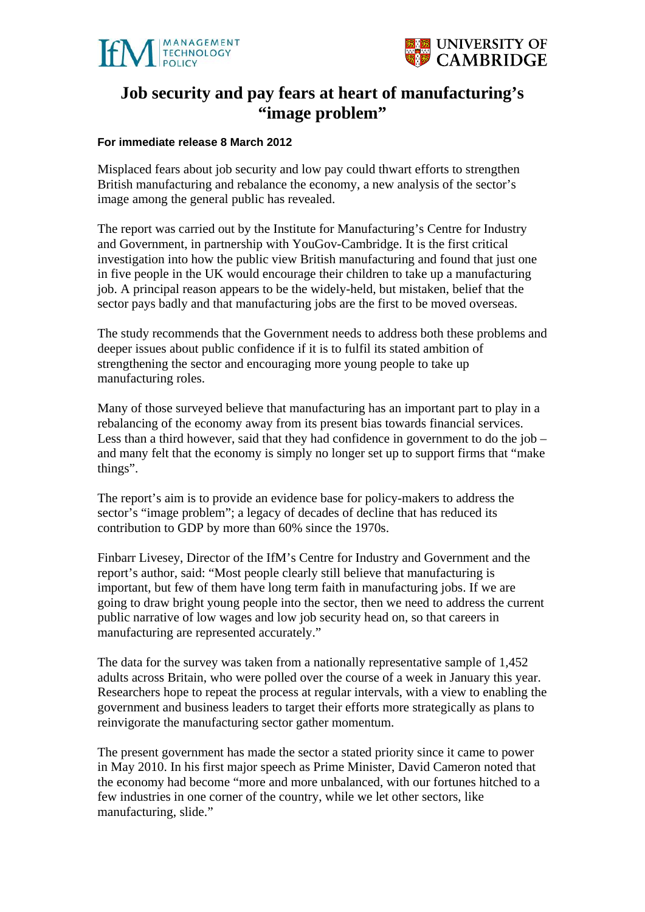



# **Job security and pay fears at heart of manufacturing's "image problem"**

#### **For immediate release 8 March 2012**

Misplaced fears about job security and low pay could thwart efforts to strengthen British manufacturing and rebalance the economy, a new analysis of the sector's image among the general public has revealed.

The report was carried out by the Institute for Manufacturing's Centre for Industry and Government, in partnership with YouGov-Cambridge. It is the first critical investigation into how the public view British manufacturing and found that just one in five people in the UK would encourage their children to take up a manufacturing job. A principal reason appears to be the widely-held, but mistaken, belief that the sector pays badly and that manufacturing jobs are the first to be moved overseas.

The study recommends that the Government needs to address both these problems and deeper issues about public confidence if it is to fulfil its stated ambition of strengthening the sector and encouraging more young people to take up manufacturing roles.

Many of those surveyed believe that manufacturing has an important part to play in a rebalancing of the economy away from its present bias towards financial services. Less than a third however, said that they had confidence in government to do the job – and many felt that the economy is simply no longer set up to support firms that "make things".

The report's aim is to provide an evidence base for policy-makers to address the sector's "image problem"; a legacy of decades of decline that has reduced its contribution to GDP by more than 60% since the 1970s.

Finbarr Livesey, Director of the IfM's Centre for Industry and Government and the report's author, said: "Most people clearly still believe that manufacturing is important, but few of them have long term faith in manufacturing jobs. If we are going to draw bright young people into the sector, then we need to address the current public narrative of low wages and low job security head on, so that careers in manufacturing are represented accurately."

The data for the survey was taken from a nationally representative sample of 1,452 adults across Britain, who were polled over the course of a week in January this year. Researchers hope to repeat the process at regular intervals, with a view to enabling the government and business leaders to target their efforts more strategically as plans to reinvigorate the manufacturing sector gather momentum.

The present government has made the sector a stated priority since it came to power in May 2010. In his first major speech as Prime Minister, David Cameron noted that the economy had become "more and more unbalanced, with our fortunes hitched to a few industries in one corner of the country, while we let other sectors, like manufacturing, slide."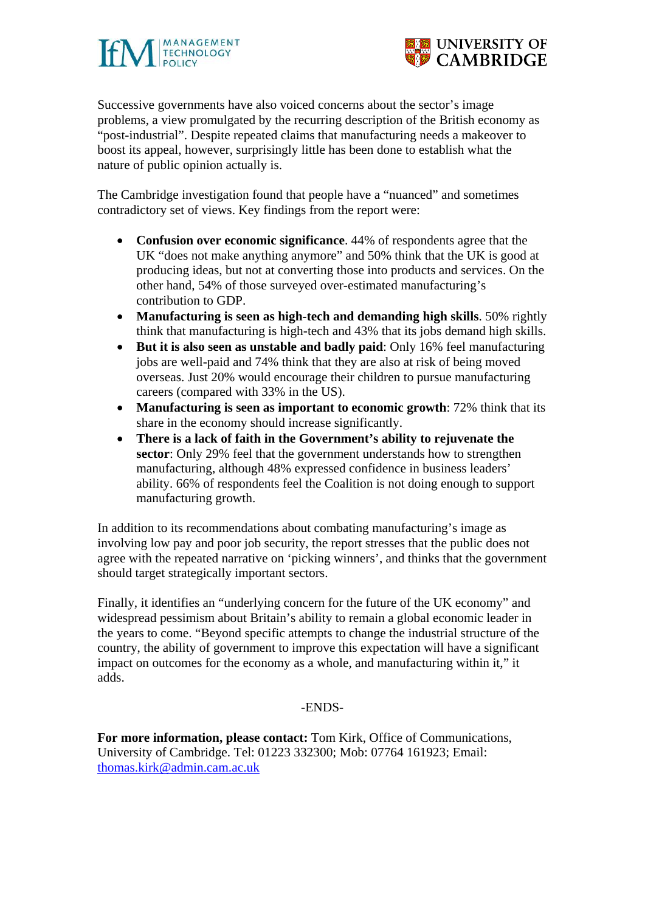



Successive governments have also voiced concerns about the sector's image problems, a view promulgated by the recurring description of the British economy as "post-industrial". Despite repeated claims that manufacturing needs a makeover to boost its appeal, however, surprisingly little has been done to establish what the nature of public opinion actually is.

The Cambridge investigation found that people have a "nuanced" and sometimes contradictory set of views. Key findings from the report were:

- **Confusion over economic significance**. 44% of respondents agree that the UK "does not make anything anymore" and 50% think that the UK is good at producing ideas, but not at converting those into products and services. On the other hand, 54% of those surveyed over-estimated manufacturing's contribution to GDP.
- **Manufacturing is seen as high-tech and demanding high skills**. 50% rightly think that manufacturing is high-tech and 43% that its jobs demand high skills.
- **But it is also seen as unstable and badly paid**: Only 16% feel manufacturing jobs are well-paid and 74% think that they are also at risk of being moved overseas. Just 20% would encourage their children to pursue manufacturing careers (compared with 33% in the US).
- **Manufacturing is seen as important to economic growth**: 72% think that its share in the economy should increase significantly.
- **There is a lack of faith in the Government's ability to rejuvenate the sector**: Only 29% feel that the government understands how to strengthen manufacturing, although 48% expressed confidence in business leaders' ability. 66% of respondents feel the Coalition is not doing enough to support manufacturing growth.

In addition to its recommendations about combating manufacturing's image as involving low pay and poor job security, the report stresses that the public does not agree with the repeated narrative on 'picking winners', and thinks that the government should target strategically important sectors.

Finally, it identifies an "underlying concern for the future of the UK economy" and widespread pessimism about Britain's ability to remain a global economic leader in the years to come. "Beyond specific attempts to change the industrial structure of the country, the ability of government to improve this expectation will have a significant impact on outcomes for the economy as a whole, and manufacturing within it," it adds.

## -ENDS-

**For more information, please contact:** Tom Kirk, Office of Communications, University of Cambridge. Tel: 01223 332300; Mob: 07764 161923; Email: thomas.kirk@admin.cam.ac.uk